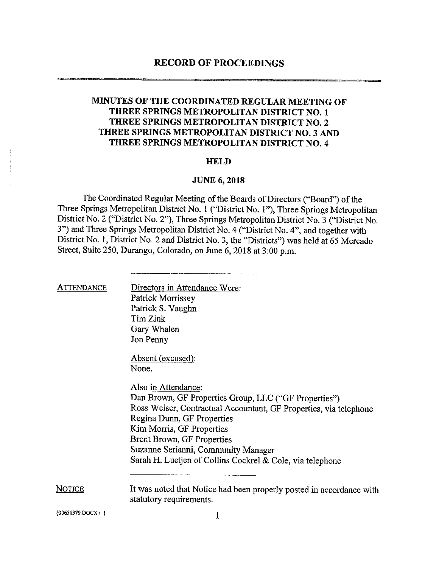## MINUTES OF THE COORDINATED REGULAR MEETING OF THREE SPRINGS METROPOLITAN DISTRICT NO. 1 THREE SPRINGS METROPOLITAN DISTRICT NO. 2 THREE SPRINGS METROPOLITAN DISTRICT NO. 3 AND THREE SPRINGS METROPOLITAN DISTRICT NO. 4

#### HELD

### JUNE 6, 2018

The Coordinated Regular Meeting of the Boards of Directors ("Board") of the Three Springs Metropolitan District No. <sup>1</sup> ("District No. 1"), Three Springs Metropolitan District No. <sup>2</sup> ("District No. 2"), Three Springs Metropolitan District No. <sup>3</sup> ("District No. 3") and Three Springs Metropolitan District No. <sup>4</sup> ("District No. 4", and together with District No. 1, District No. <sup>2</sup> and District No. 3, the "Districts") was held at <sup>65</sup> Mercado Street, Suite 250, Durango, Colorado, on June 6, <sup>2018</sup> at 3:00 p.m.

| <b>ATTENDANCE</b> | Directors in Attendance Were:                                                                   |
|-------------------|-------------------------------------------------------------------------------------------------|
|                   | <b>Patrick Morrissey</b>                                                                        |
|                   | Patrick S. Vaughn                                                                               |
|                   | Tim Zink                                                                                        |
|                   |                                                                                                 |
|                   | Gary Whalen                                                                                     |
|                   | Jon Penny                                                                                       |
|                   | Absent (excused):                                                                               |
|                   | None.                                                                                           |
|                   | Also in Attendance:                                                                             |
|                   | Dan Brown, GF Properties Group, LLC ("GF Properties")                                           |
|                   | Ross Weiser, Contractual Accountant, GF Properties, via telephone                               |
|                   | Regina Dunn, GF Properties                                                                      |
|                   | Kim Morris, GF Properties                                                                       |
|                   | <b>Brent Brown, GF Properties</b>                                                               |
|                   | Suzanne Serianni, Community Manager                                                             |
|                   | Sarah H. Luetjen of Collins Cockrel & Cole, via telephone                                       |
|                   |                                                                                                 |
| <u>Notice</u>     | It was noted that Notice had been properly posted in accordance with<br>statutory requirements. |
| {00651379.DOCX/}  |                                                                                                 |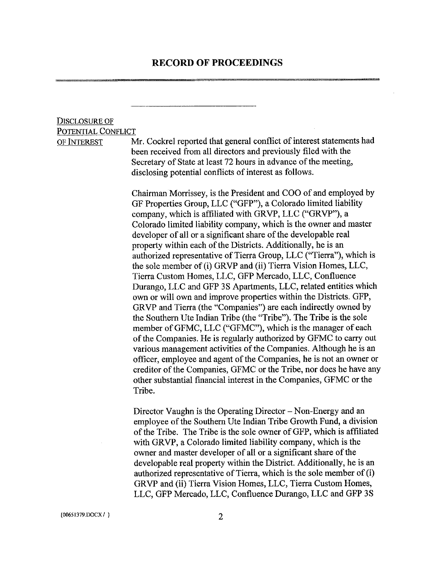## Disclosure of Potential Conflict

of Interest Mr. Cockrel reported that general conflict of interest statements had been received from all directors and previously filed with the Secretary of State at least 72 hours in advance of the meeting, disclosing potential conflicts of interest as follows.

> Chairman Morrissey, is the President and COO of and employed by GF Properties Group, LLC ("GFP"), a Colorado limited liability company, which is affiliated with GRVP, LLC ("GRVP"), a Colorado limited liability company, which is the owner and master developer of all or a significant share of the developable real property within each of the Districts. Additionally, he is an authorized representative of Tierra Group, LLC ("Tierra"), which is the sole member of (i) GRVP and (ii) Tierra Vision Homes, LLC, Tierra Custom Homes, LLC, GFP Mercado, LLC, Confluence Durango, LLC and GFP 3S Apartments, LLC, related entities which own or will own and improve properties within the Districts. GFP, GRVP and Tierra (the "Companies") are each indirectly owned by the Southern Ute Indian Tribe (the "Tribe"). The Tribe is the sole member of GFMC, LLC ("GFMC"), which is the manager of each of the Companies. He is regularly authorized by GFMC to carry out various management activities of the Companies. Although he is an officer, employee and agent of the Companies, he is not an owner or creditor of the Companies, GFMC or the Tribe, nor does he have any other substantial financial interest in the Companies, GFMC or the Tribe.

> Director Vaughn is the Operating Director – Non-Energy and an employee of the Southern Ute Indian Tribe Growth Fund, a division of the Tribe. The Tribe is the sole owner of GFP, which is affiliated with GRVP, a Colorado limited liability company, which is the owner and master developer of all or a significant share of the developable real property within the District. Additionally, he is an authorized representative of Tierra, which is the sole member of  $(i)$ GRVP and (ii) Tierra Vision Homes, LLC, Tierra Custom Homes, LLC, GFP Mercado, LLC, Confluence Durango, LLC and GFP 3S

(00651379.DOCX/ } 2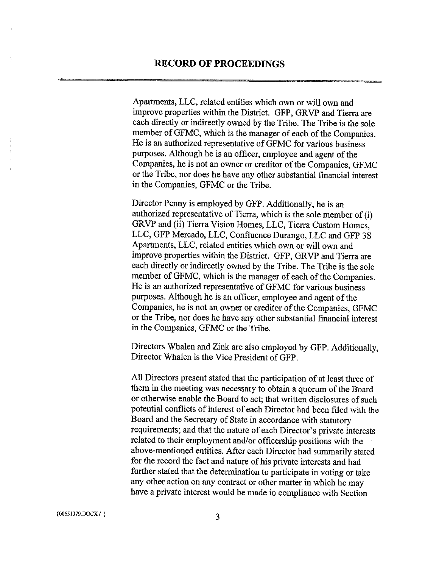Apartments, LLC, related entities which own or will own and improve properties within the District. GFP, GRVP and Tierra are each directly or indirectly owned by the Tribe. The Tribe is the sole member of GFMC, which is the manager of each of the Companies. He is an authorized representative of GFMC for various business purposes. Although he is an officer, employee and agent of the Companies, he is not an owner or creditor of the Companies, GFMC or the Tribe, nor does he have any other substantial financial interest in the Companies, GFMC or the Tribe.

Director Penny is employed by GFP. Additionally, he is an authorized representative of Tierra, which is the sole member of  $(i)$ GRVP and (ii) Tierra Vision Homes, LLC, Tierra Custom Homes, LLC, GFP Mercado, LLC, Confluence Durango, LLC and GFP 3S Apartments, LLC, related entities which own or will own and improve properties within the District. GFP, GRVP and Tierra are each directly or indirectly owned by the Tribe. The Tribe is the sole member of GFMC, which is the manager of each of the Companies. He is an authorized representative of GFMC for various business purposes. Although he is an officer, employee and agent of the Companies, he is not an owner or creditor of the Companies, GFMC or the Tribe, nor does he have any other substantial financial interest in the Companies, GFMC or the Tribe.

Directors Whalen and Zink are also employed by GFP. Additionally, Director Whalen is the Vice President of GFP.

All Directors present stated that the participation of at least three of them in the meeting was necessary to obtain a quorum of the Board or otherwise enable the Board to act; that written disclosures of such potential conflicts of interest of each Director had been filed with the Board and the Secretary of State in accordance with statutory requirements; and that the nature of each Director's private interests related to their employment and/or officership positions with the above-mentioned entities. After each Director had summarily stated for the record the fact and nature of his private interests and had further stated that the determination to participate in voting or take any other action on any contract or other matter in which he may have <sup>a</sup> private interest would be made in compliance with Section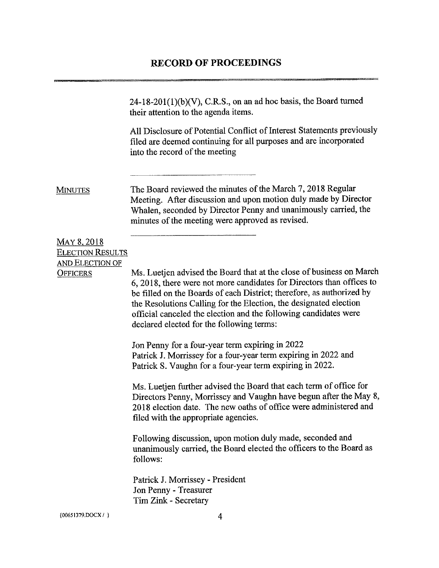|                                               | $24-18-201(1)(b)(V)$ , C.R.S., on an ad hoc basis, the Board turned<br>their attention to the agenda items.                                                                                                                                                                                                                                                                                                  |
|-----------------------------------------------|--------------------------------------------------------------------------------------------------------------------------------------------------------------------------------------------------------------------------------------------------------------------------------------------------------------------------------------------------------------------------------------------------------------|
|                                               | All Disclosure of Potential Conflict of Interest Statements previously<br>filed are deemed continuing for all purposes and are incorporated<br>into the record of the meeting                                                                                                                                                                                                                                |
| <b>MINUTES</b>                                | The Board reviewed the minutes of the March 7, 2018 Regular<br>Meeting. After discussion and upon motion duly made by Director<br>Whalen, seconded by Director Penny and unanimously carried, the<br>minutes of the meeting were approved as revised.                                                                                                                                                        |
| <b>MAY 8, 2018</b><br><b>ELECTION RESULTS</b> |                                                                                                                                                                                                                                                                                                                                                                                                              |
| <b>AND ELECTION OF</b><br><b>OFFICERS</b>     | Ms. Luetjen advised the Board that at the close of business on March<br>6, 2018, there were not more candidates for Directors than offices to<br>be filled on the Boards of each District; therefore, as authorized by<br>the Resolutions Calling for the Election, the designated election<br>official canceled the election and the following candidates were<br>declared elected for the following terms: |
|                                               | Jon Penny for a four-year term expiring in 2022<br>Patrick J. Morrissey for a four-year term expiring in 2022 and<br>Patrick S. Vaughn for a four-year term expiring in 2022.                                                                                                                                                                                                                                |
|                                               | Ms. Luetjen further advised the Board that each term of office for<br>Directors Penny, Morrissey and Vaughn have begun after the May 8,<br>2018 election date. The new oaths of office were administered and<br>filed with the appropriate agencies.                                                                                                                                                         |
|                                               | Following discussion, upon motion duly made, seconded and<br>unanimously carried, the Board elected the officers to the Board as<br>follows:                                                                                                                                                                                                                                                                 |
|                                               | Patrick J. Morrissey - President<br>Jon Penny - Treasurer<br>Tim Zink - Secretary                                                                                                                                                                                                                                                                                                                            |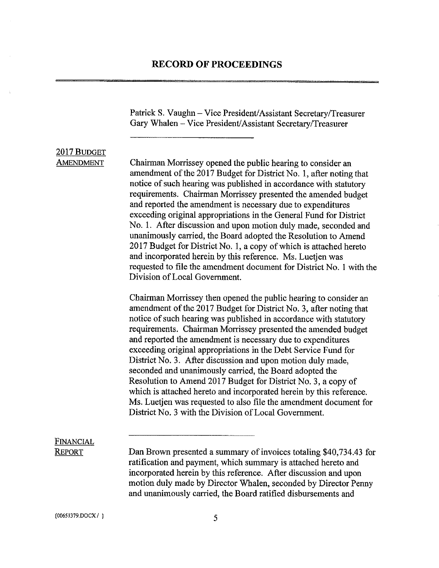Patrick S. Vaughn - Vice President/Assistant Secretary/Treasurer Gary Whalen - Vice President/Assistant Secretary/Treasurer

## 2017 BUDGET

AMENDMENT Chairman Morrissey opened the public hearing to consider an amendment of the 2017 Budget for District No. 1, after noting that notice of such hearing was published in accordance with statutory requirements. Chairman Morrissey presented the amended budget and reported the amendment is necessary due to expenditures exceeding original appropriations in the General Fund for District No. 1. After discussion and upon motion duly made, seconded and unanimously carried, the Board adopted the Resolution to Amend 2017 Budget for District No. 1, a copy of which is attached hereto and incorporated herein by this reference. Ms. Luetjen was requested to file the amendment document for District No. <sup>1</sup> with the Division ofLocal Government.

> Chairman Morrissey then opened the public hearing to consider an amendment of the 2017 Budget for District No. 3, after noting that notice of such hearing was published in accordance with statutory requirements. Chairman Morrissey presented the amended budget and reported the amendment is necessary due to expenditures exceeding original appropriations in the Debt Service Fund for District No. 3. After discussion and upon motion duly made, seconded and unanimously carried, the Board adopted the Resolution to Amend 2017 Budget for District No. 3, a copy of which is attached hereto and incorporated herein by this reference. Ms. Luetjen was requested to also file the amendment document for District No. 3 with the Division of Local Government.

# Financial

REPORT Dan Brown presented a summary of invoices totaling \$40,734.43 for ratification and payment, which summary is attached hereto and incorporated herein by this reference. After discussion and upon motion duly made by Director Whalen, seconded by Director Penny and unanimously carried, the Board ratified disbursements and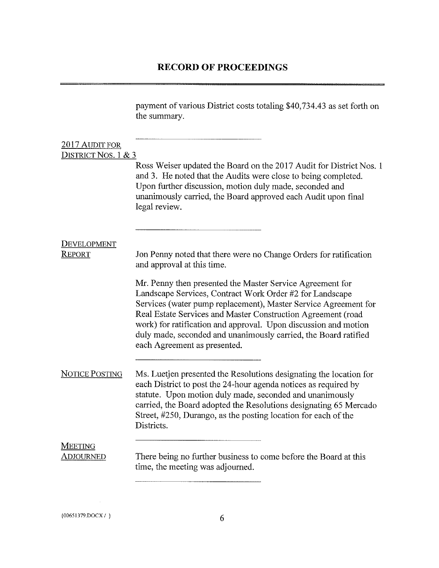payment of various District costs totaling \$40,734.43 as set forth on the summary.

| 2017 AUDIT FOR              |                                                                                                                                                                                                                                                                                                                                                                                                                                                              |
|-----------------------------|--------------------------------------------------------------------------------------------------------------------------------------------------------------------------------------------------------------------------------------------------------------------------------------------------------------------------------------------------------------------------------------------------------------------------------------------------------------|
| DISTRICT NOS. 1 & 3         | Ross Weiser updated the Board on the 2017 Audit for District Nos. 1<br>and 3. He noted that the Audits were close to being completed.<br>Upon further discussion, motion duly made, seconded and<br>unanimously carried, the Board approved each Audit upon final<br>legal review.                                                                                                                                                                           |
| DEVELOPMENT<br>REPORT       | Jon Penny noted that there were no Change Orders for ratification                                                                                                                                                                                                                                                                                                                                                                                            |
|                             | and approval at this time.<br>Mr. Penny then presented the Master Service Agreement for<br>Landscape Services, Contract Work Order #2 for Landscape<br>Services (water pump replacement), Master Service Agreement for<br>Real Estate Services and Master Construction Agreement (road<br>work) for ratification and approval. Upon discussion and motion<br>duly made, seconded and unanimously carried, the Board ratified<br>each Agreement as presented. |
| <b>NOTICE POSTING</b>       | Ms. Luetjen presented the Resolutions designating the location for<br>each District to post the 24-hour agenda notices as required by<br>statute. Upon motion duly made, seconded and unanimously<br>carried, the Board adopted the Resolutions designating 65 Mercado<br>Street, #250, Durango, as the posting location for each of the<br>Districts.                                                                                                       |
| <b>MEETING</b><br>Adjourned | There being no further business to come before the Board at this<br>time, the meeting was adjourned.                                                                                                                                                                                                                                                                                                                                                         |